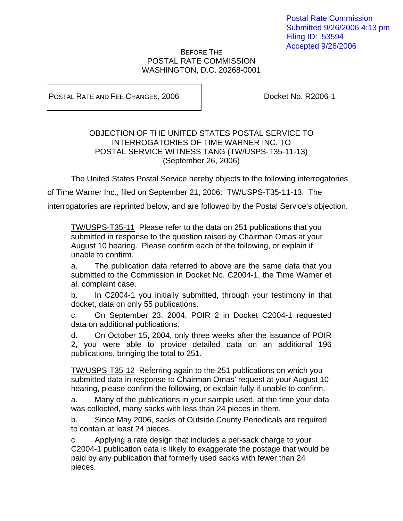## BEFORE THE POSTAL RATE COMMISSION WASHINGTON, D.C. 20268-0001

POSTAL RATE AND FEE CHANGES, 2006 | Docket No. R2006-1

## OBJECTION OF THE UNITED STATES POSTAL SERVICE TO INTERROGATORIES OF TIME WARNER INC. TO POSTAL SERVICE WITNESS TANG (TW/USPS-T35-11-13) (September 26, 2006)

The United States Postal Service hereby objects to the following interrogatories

of Time Warner Inc., filed on September 21, 2006: TW/USPS-T35-11-13. The

interrogatories are reprinted below, and are followed by the Postal Service's objection.

TW/USPS-T35-11 Please refer to the data on 251 publications that you submitted in response to the question raised by Chairman Omas at your August 10 hearing. Please confirm each of the following, or explain if unable to confirm.

a. The publication data referred to above are the same data that you submitted to the Commission in Docket No. C2004-1, the Time Warner et al. complaint case.

b. In C2004-1 you initially submitted, through your testimony in that docket, data on only 55 publications.

c. On September 23, 2004, POIR 2 in Docket C2004-1 requested data on additional publications.

d. On October 15, 2004, only three weeks after the issuance of POIR 2, you were able to provide detailed data on an additional 196 publications, bringing the total to 251.

TW/USPS-T35-12 Referring again to the 251 publications on which you submitted data in response to Chairman Omas' request at your August 10 hearing, please confirm the following, or explain fully if unable to confirm.

a. Many of the publications in your sample used, at the time your data was collected, many sacks with less than 24 pieces in them.

b. Since May 2006, sacks of Outside County Periodicals are required to contain at least 24 pieces.

c. Applying a rate design that includes a per-sack charge to your C2004-1 publication data is likely to exaggerate the postage that would be paid by any publication that formerly used sacks with fewer than 24 pieces.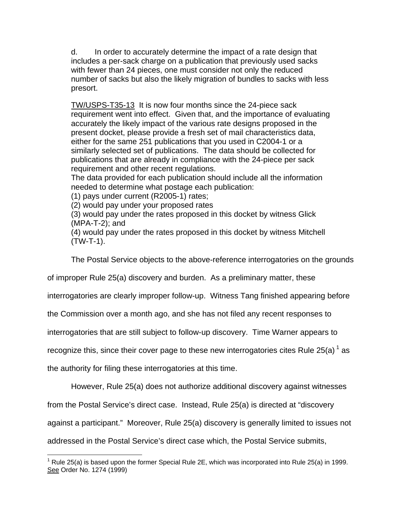d. In order to accurately determine the impact of a rate design that includes a per-sack charge on a publication that previously used sacks with fewer than 24 pieces, one must consider not only the reduced number of sacks but also the likely migration of bundles to sacks with less presort.

TW/USPS-T35-13 It is now four months since the 24-piece sack requirement went into effect. Given that, and the importance of evaluating accurately the likely impact of the various rate designs proposed in the present docket, please provide a fresh set of mail characteristics data, either for the same 251 publications that you used in C2004-1 or a similarly selected set of publications. The data should be collected for publications that are already in compliance with the 24-piece per sack requirement and other recent regulations.

The data provided for each publication should include all the information needed to determine what postage each publication:

(1) pays under current (R2005-1) rates;

(2) would pay under your proposed rates

(3) would pay under the rates proposed in this docket by witness Glick (MPA-T-2); and

(4) would pay under the rates proposed in this docket by witness Mitchell (TW-T-1).

The Postal Service objects to the above-reference interrogatories on the grounds

of improper Rule 25(a) discovery and burden. As a preliminary matter, these

interrogatories are clearly improper follow-up. Witness Tang finished appearing before

the Commission over a month ago, and she has not filed any recent responses to

interrogatories that are still subject to follow-up discovery. Time Warner appears to

recognize this, since their cover page to these new interrogatories cites Rule 25(a)<sup>1</sup> as

the authority for filing these interrogatories at this time.

 $\overline{\phantom{a}}$ 

However, Rule 25(a) does not authorize additional discovery against witnesses

from the Postal Service's direct case. Instead, Rule 25(a) is directed at "discovery

against a participant." Moreover, Rule 25(a) discovery is generally limited to issues not

addressed in the Postal Service's direct case which, the Postal Service submits,

<span id="page-1-0"></span><sup>&</sup>lt;sup>1</sup> Rule 25(a) is based upon the former Special Rule 2E, which was incorporated into Rule 25(a) in 1999. See Order No. 1274 (1999)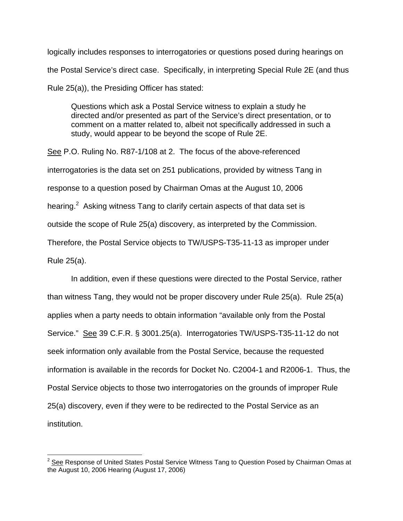logically includes responses to interrogatories or questions posed during hearings on the Postal Service's direct case. Specifically, in interpreting Special Rule 2E (and thus Rule 25(a)), the Presiding Officer has stated:

Questions which ask a Postal Service witness to explain a study he directed and/or presented as part of the Service's direct presentation, or to comment on a matter related to, albeit not specifically addressed in such a study, would appear to be beyond the scope of Rule 2E.

See P.O. Ruling No. R87-1/108 at 2. The focus of the above-referenced interrogatories is the data set on 251 publications, provided by witness Tang in response to a question posed by Chairman Omas at the August 10, 2006 hearing.<sup>[2](#page-2-0)</sup> Asking witness Tang to clarify certain aspects of that data set is outside the scope of Rule 25(a) discovery, as interpreted by the Commission. Therefore, the Postal Service objects to TW/USPS-T35-11-13 as improper under Rule 25(a).

In addition, even if these questions were directed to the Postal Service, rather than witness Tang, they would not be proper discovery under Rule 25(a). Rule 25(a) applies when a party needs to obtain information "available only from the Postal Service." See 39 C.F.R. § 3001.25(a). Interrogatories TW/USPS-T35-11-12 do not seek information only available from the Postal Service, because the requested information is available in the records for Docket No. C2004-1 and R2006-1. Thus, the Postal Service objects to those two interrogatories on the grounds of improper Rule 25(a) discovery, even if they were to be redirected to the Postal Service as an institution.

 $\overline{\phantom{a}}$ 

<span id="page-2-0"></span> $2$  See Response of United States Postal Service Witness Tang to Question Posed by Chairman Omas at the August 10, 2006 Hearing (August 17, 2006)